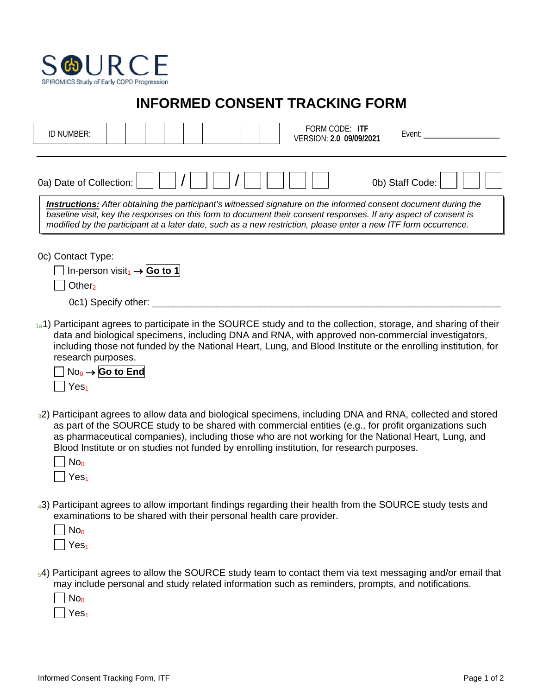

## **INFORMED CONSENT TRACKING FORM**

| FORM CODE: ITF<br>ID NUMBER:<br>Event:<br>VERSION: 2.0 09/09/2021                                                                                                                                                                                                                                                                                                                                                                                               |
|-----------------------------------------------------------------------------------------------------------------------------------------------------------------------------------------------------------------------------------------------------------------------------------------------------------------------------------------------------------------------------------------------------------------------------------------------------------------|
| 0b) Staff Code:<br>0a) Date of Collection:<br><b>Instructions:</b> After obtaining the participant's witnessed signature on the informed consent document during the<br>baseline visit, key the responses on this form to document their consent responses. If any aspect of consent is<br>modified by the participant at a later date, such as a new restriction, please enter a new ITF form occurrence.                                                      |
| 0c) Contact Type:<br>□ In-person visit <sub>1</sub> $\rightarrow$ Go to 1<br>Other <sub>2</sub><br>0c1) Specify other: ____                                                                                                                                                                                                                                                                                                                                     |
| 1a <sup>1</sup> ) Participant agrees to participate in the SOURCE study and to the collection, storage, and sharing of their<br>data and biological specimens, including DNA and RNA, with approved non-commercial investigators,<br>including those not funded by the National Heart, Lung, and Blood Institute or the enrolling institution, for<br>research purposes.<br>$\Box$ No <sub>0</sub> $\rightarrow$ Go to End<br>Yes <sub>1</sub>                  |
| 32) Participant agrees to allow data and biological specimens, including DNA and RNA, collected and stored<br>as part of the SOURCE study to be shared with commercial entities (e.g., for profit organizations such<br>as pharmaceutical companies), including those who are not working for the National Heart, Lung, and<br>Blood Institute or on studies not funded by enrolling institution, for research purposes.<br>No <sub>0</sub><br>Yes <sub>1</sub> |
| 43) Participant agrees to allow important findings regarding their health from the SOURCE study tests and<br>examinations to be shared with their personal health care provider.<br>No <sub>0</sub><br>Yes <sub>1</sub>                                                                                                                                                                                                                                         |

54) Participant agrees to allow the SOURCE study team to contact them via text messaging and/or email that may include personal and study related information such as reminders, prompts, and notifications.

| L | N<br>O٥      |
|---|--------------|
|   | ۹,<br>۷<br>۳ |